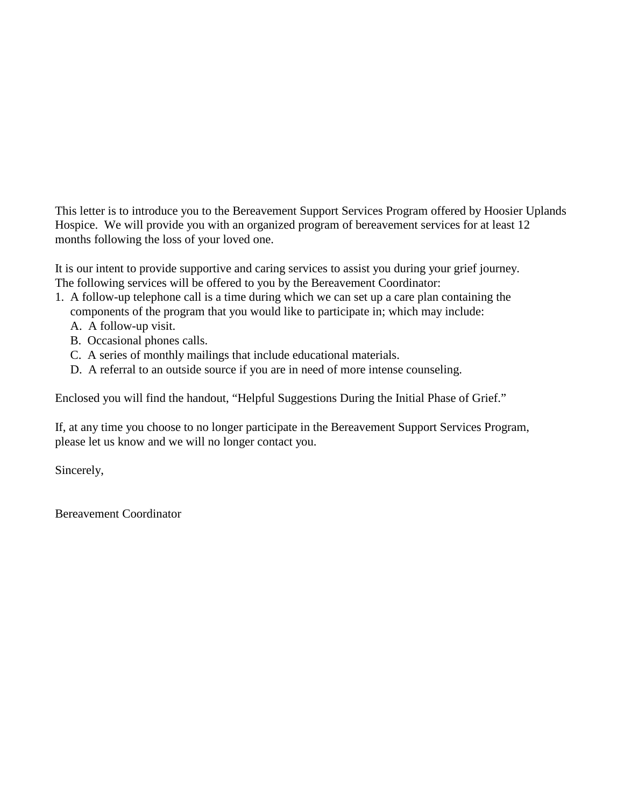This letter is to introduce you to the Bereavement Support Services Program offered by Hoosier Uplands Hospice. We will provide you with an organized program of bereavement services for at least 12 months following the loss of your loved one.

It is our intent to provide supportive and caring services to assist you during your grief journey. The following services will be offered to you by the Bereavement Coordinator:

- 1. A follow-up telephone call is a time during which we can set up a care plan containing the components of the program that you would like to participate in; which may include:
	- A. A follow-up visit.
	- B. Occasional phones calls.
	- C. A series of monthly mailings that include educational materials.
	- D. A referral to an outside source if you are in need of more intense counseling.

Enclosed you will find the handout, "Helpful Suggestions During the Initial Phase of Grief."

If, at any time you choose to no longer participate in the Bereavement Support Services Program, please let us know and we will no longer contact you.

Sincerely,

Bereavement Coordinator